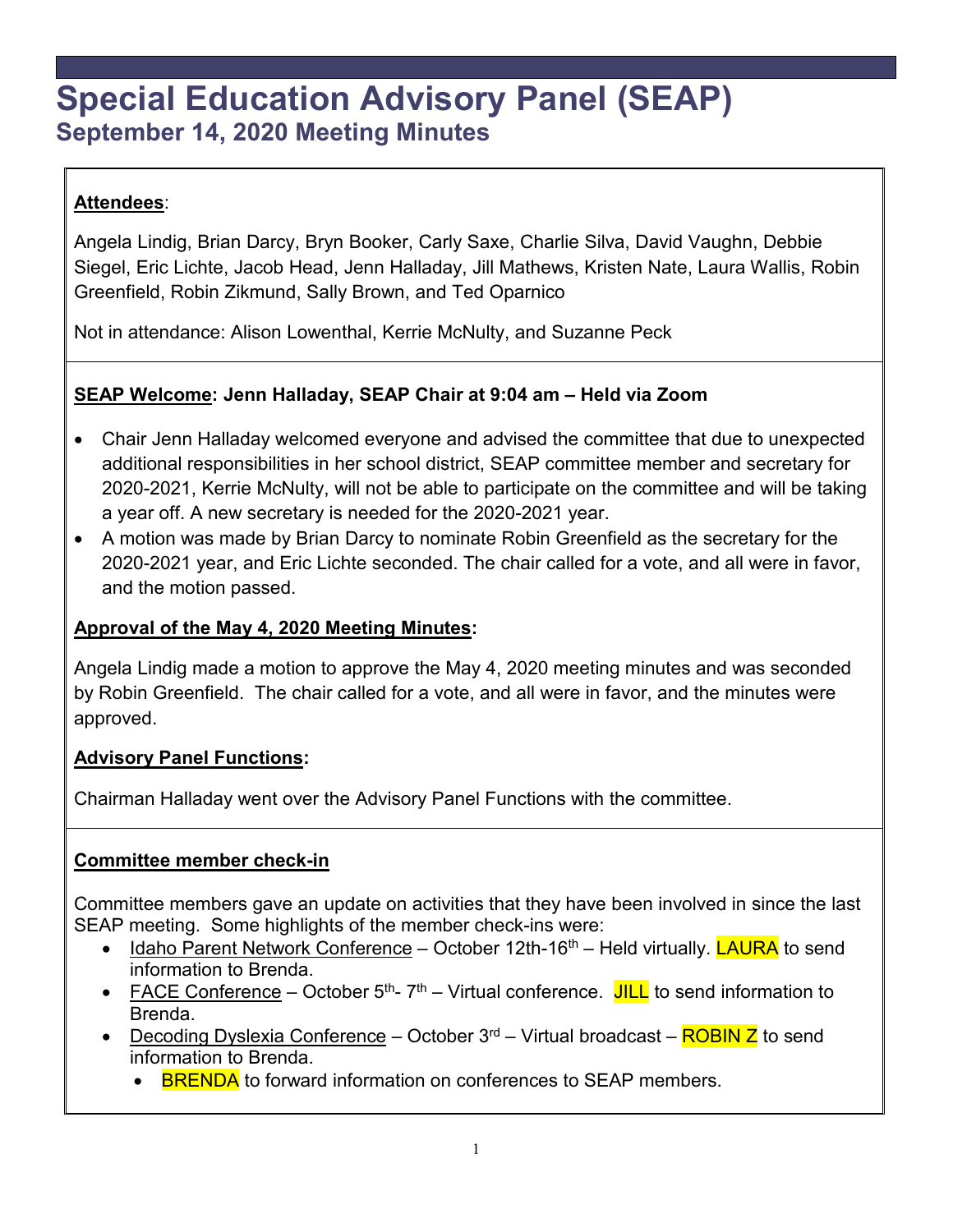# **Special Education Advisory Panel (SEAP) September 14, 2020 Meeting Minutes**

# **Attendees**:

Angela Lindig, Brian Darcy, Bryn Booker, Carly Saxe, Charlie Silva, David Vaughn, Debbie Siegel, Eric Lichte, Jacob Head, Jenn Halladay, Jill Mathews, Kristen Nate, Laura Wallis, Robin Greenfield, Robin Zikmund, Sally Brown, and Ted Oparnico

Not in attendance: Alison Lowenthal, Kerrie McNulty, and Suzanne Peck

# **SEAP Welcome: Jenn Halladay, SEAP Chair at 9:04 am – Held via Zoom**

- Chair Jenn Halladay welcomed everyone and advised the committee that due to unexpected additional responsibilities in her school district, SEAP committee member and secretary for 2020-2021, Kerrie McNulty, will not be able to participate on the committee and will be taking a year off. A new secretary is needed for the 2020-2021 year.
- A motion was made by Brian Darcy to nominate Robin Greenfield as the secretary for the 2020-2021 year, and Eric Lichte seconded. The chair called for a vote, and all were in favor, and the motion passed.

# **Approval of the May 4, 2020 Meeting Minutes:**

Angela Lindig made a motion to approve the May 4, 2020 meeting minutes and was seconded by Robin Greenfield. The chair called for a vote, and all were in favor, and the minutes were approved.

### **Advisory Panel Functions:**

Chairman Halladay went over the Advisory Panel Functions with the committee.

### **Committee member check-in**

Committee members gave an update on activities that they have been involved in since the last SEAP meeting. Some highlights of the member check-ins were:

- Idaho Parent Network Conference October 12th-16<sup>th</sup> Held virtually. **LAURA** to send information to Brenda.
- FACE Conference October  $5<sup>th</sup>$   $7<sup>th</sup>$  Virtual conference. JILL to send information to Brenda.
- Decoding Dyslexia Conference October  $3<sup>rd</sup>$  Virtual broadcast  $\overline{\text{ROBIN Z}}$  to send information to Brenda.
	- **BRENDA** to forward information on conferences to SEAP members.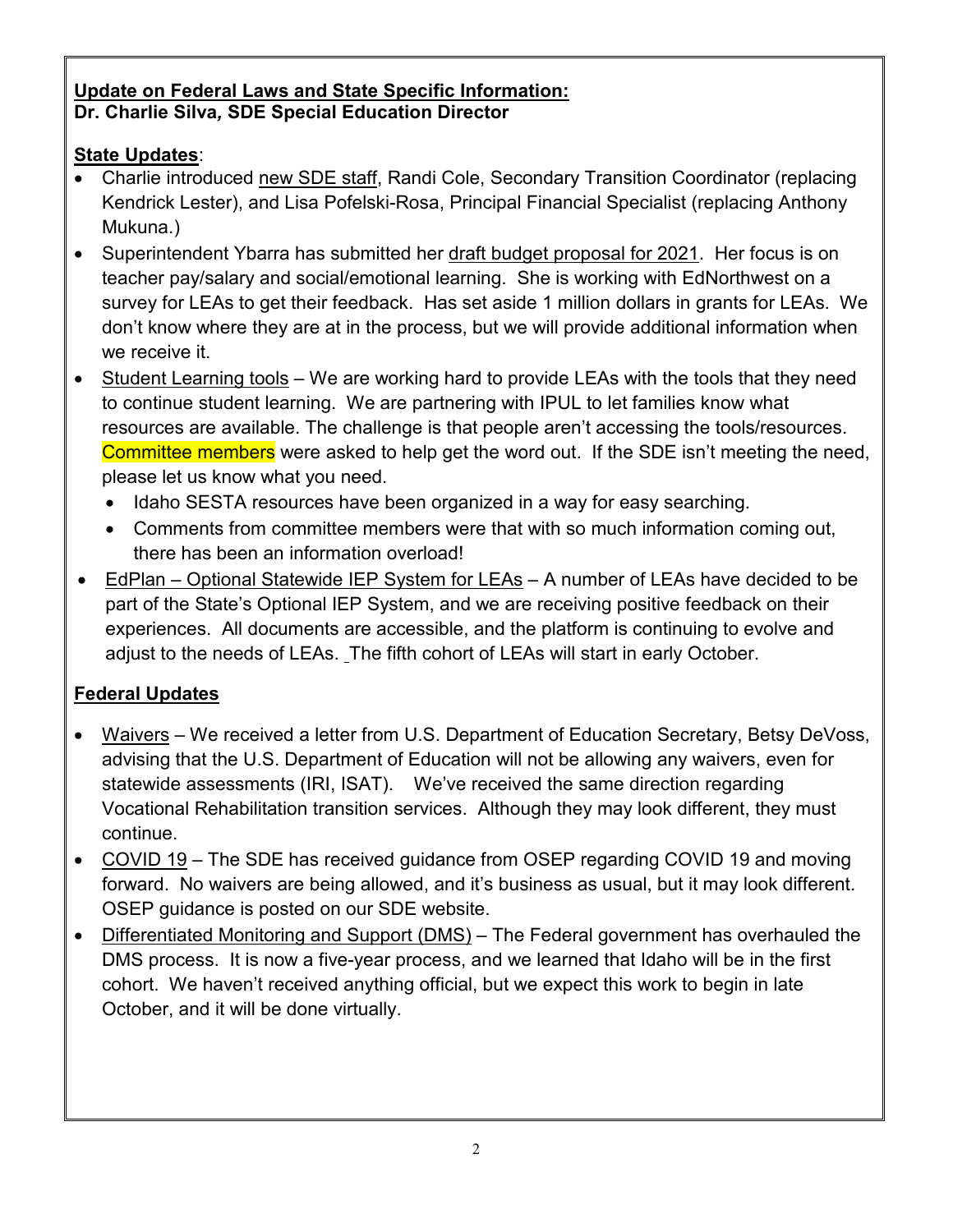# **Update on Federal Laws and State Specific Information: Dr. Charlie Silva***,* **SDE Special Education Director**

# **State Updates**:

- Charlie introduced new SDE staff, Randi Cole, Secondary Transition Coordinator (replacing Kendrick Lester), and Lisa Pofelski-Rosa, Principal Financial Specialist (replacing Anthony Mukuna.)
- Superintendent Ybarra has submitted her draft budget proposal for 2021. Her focus is on teacher pay/salary and social/emotional learning. She is working with EdNorthwest on a survey for LEAs to get their feedback. Has set aside 1 million dollars in grants for LEAs. We don't know where they are at in the process, but we will provide additional information when we receive it.
- Student Learning tools We are working hard to provide LEAs with the tools that they need to continue student learning. We are partnering with IPUL to let families know what resources are available. The challenge is that people aren't accessing the tools/resources. Committee members were asked to help get the word out. If the SDE isn't meeting the need, please let us know what you need.
	- Idaho SESTA resources have been organized in a way for easy searching.
	- Comments from committee members were that with so much information coming out, there has been an information overload!
- EdPlan Optional Statewide IEP System for LEAs A number of LEAs have decided to be part of the State's Optional IEP System, and we are receiving positive feedback on their experiences. All documents are accessible, and the platform is continuing to evolve and adjust to the needs of LEAs. The fifth cohort of LEAs will start in early October.

# **Federal Updates**

- Waivers We received a letter from U.S. Department of Education Secretary, Betsy DeVoss, advising that the U.S. Department of Education will not be allowing any waivers, even for statewide assessments (IRI, ISAT). We've received the same direction regarding Vocational Rehabilitation transition services. Although they may look different, they must continue.
- COVID 19 The SDE has received guidance from OSEP regarding COVID 19 and moving forward. No waivers are being allowed, and it's business as usual, but it may look different. OSEP guidance is posted on our SDE website.
- Differentiated Monitoring and Support (DMS) The Federal government has overhauled the DMS process. It is now a five-year process, and we learned that Idaho will be in the first cohort. We haven't received anything official, but we expect this work to begin in late October, and it will be done virtually.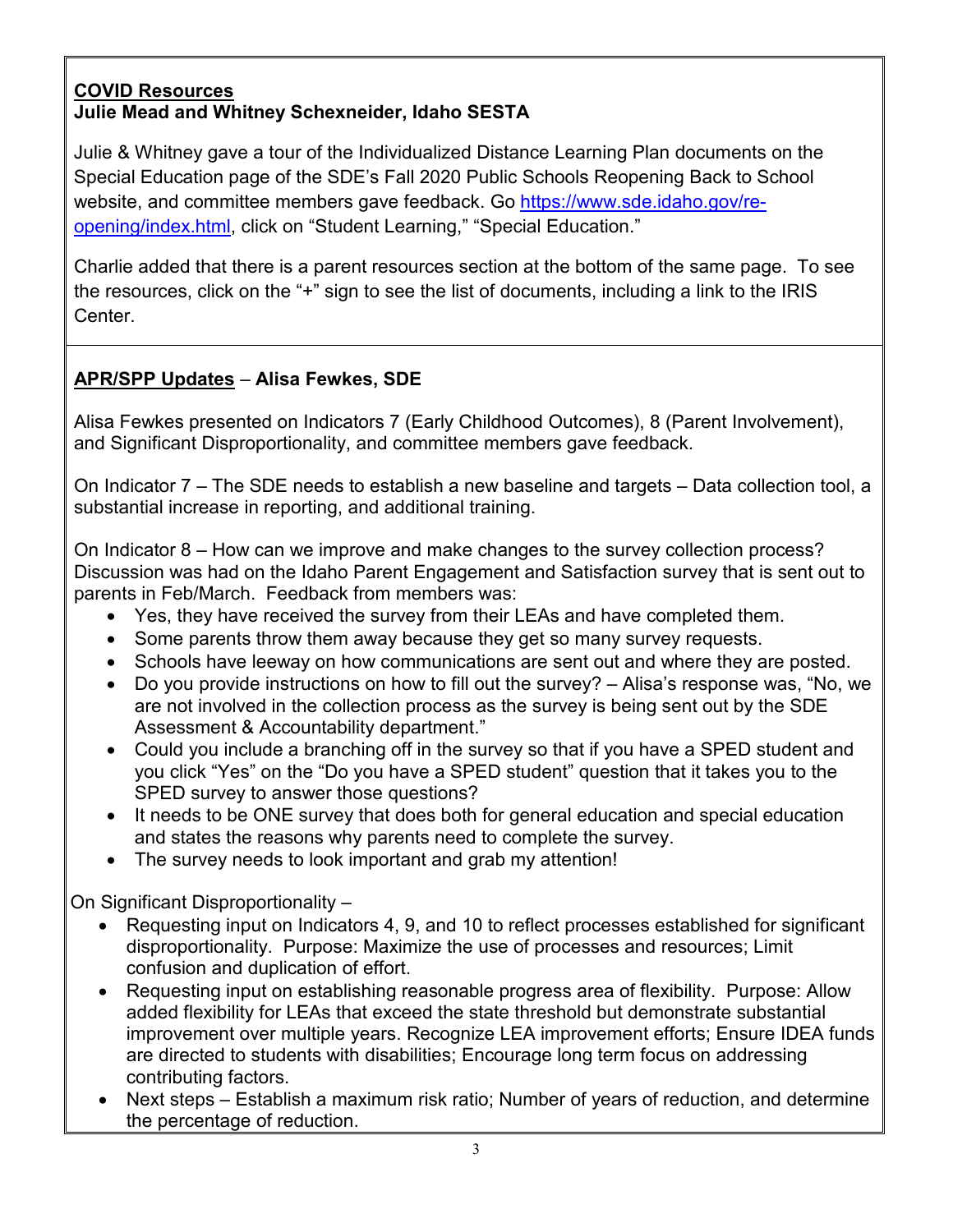#### **COVID Resources Julie Mead and Whitney Schexneider, Idaho SESTA**

Julie & Whitney gave a tour of the Individualized Distance Learning Plan documents on the Special Education page of the SDE's Fall 2020 Public Schools Reopening Back to School website, and committee members gave feedback. Go [https://www.sde.idaho.gov/re](https://www.sde.idaho.gov/re-opening/index.html)[opening/index.html,](https://www.sde.idaho.gov/re-opening/index.html) click on "Student Learning," "Special Education."

Charlie added that there is a parent resources section at the bottom of the same page. To see the resources, click on the "+" sign to see the list of documents, including a link to the IRIS Center.

# **APR/SPP Updates** – **Alisa Fewkes, SDE**

Alisa Fewkes presented on Indicators 7 (Early Childhood Outcomes), 8 (Parent Involvement), and Significant Disproportionality, and committee members gave feedback.

On Indicator 7 – The SDE needs to establish a new baseline and targets – Data collection tool, a substantial increase in reporting, and additional training.

On Indicator 8 – How can we improve and make changes to the survey collection process? Discussion was had on the Idaho Parent Engagement and Satisfaction survey that is sent out to parents in Feb/March. Feedback from members was:

- Yes, they have received the survey from their LEAs and have completed them.
- Some parents throw them away because they get so many survey requests.
- Schools have leeway on how communications are sent out and where they are posted.
- Do you provide instructions on how to fill out the survey? Alisa's response was, "No, we are not involved in the collection process as the survey is being sent out by the SDE Assessment & Accountability department."
- Could you include a branching off in the survey so that if you have a SPED student and you click "Yes" on the "Do you have a SPED student" question that it takes you to the SPED survey to answer those questions?
- It needs to be ONE survey that does both for general education and special education and states the reasons why parents need to complete the survey.
- The survey needs to look important and grab my attention!

On Significant Disproportionality –

- Requesting input on Indicators 4, 9, and 10 to reflect processes established for significant disproportionality. Purpose: Maximize the use of processes and resources; Limit confusion and duplication of effort.
- Requesting input on establishing reasonable progress area of flexibility. Purpose: Allow added flexibility for LEAs that exceed the state threshold but demonstrate substantial improvement over multiple years. Recognize LEA improvement efforts; Ensure IDEA funds are directed to students with disabilities; Encourage long term focus on addressing contributing factors.
- Next steps Establish a maximum risk ratio; Number of years of reduction, and determine the percentage of reduction.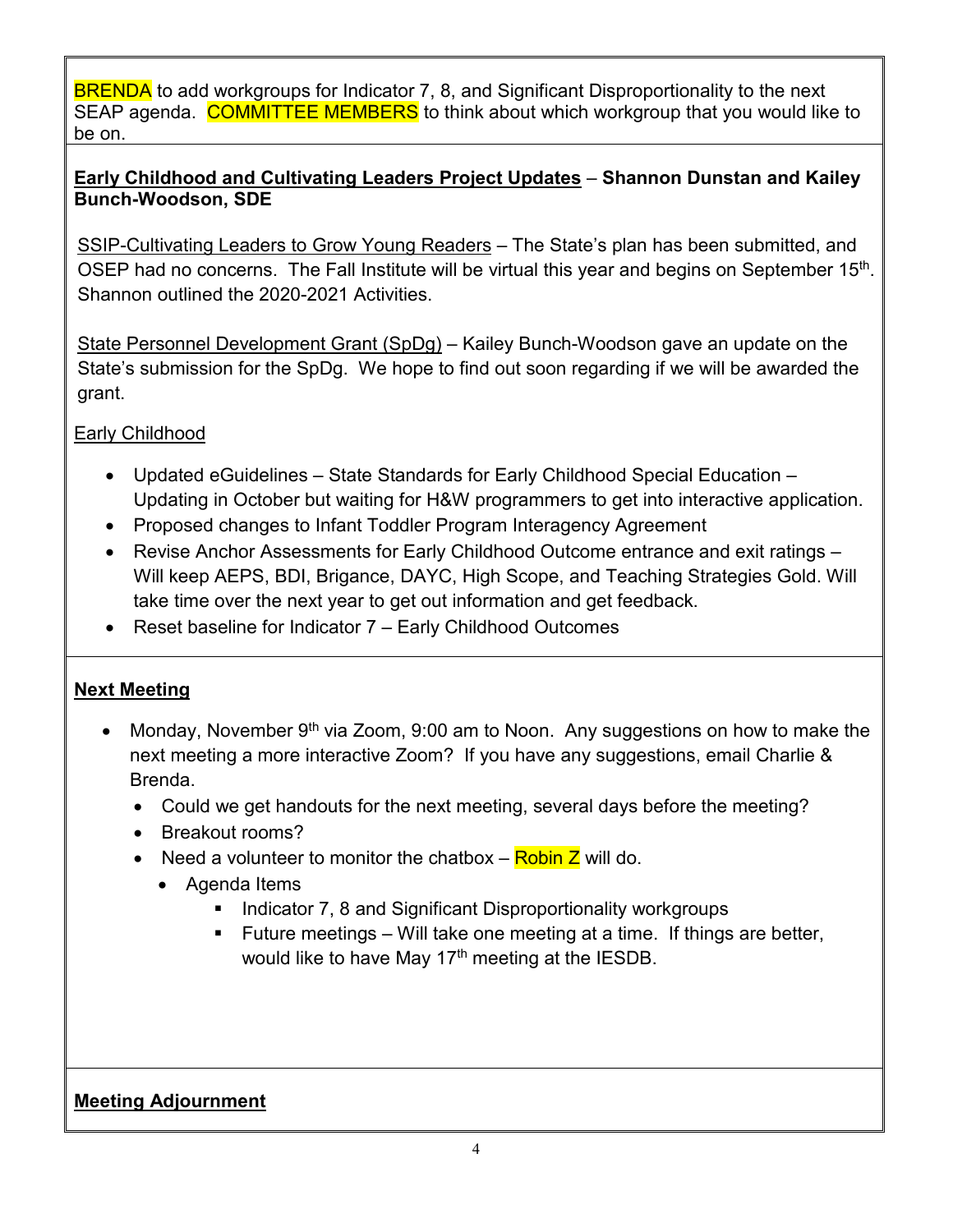BRENDA to add workgroups for Indicator 7, 8, and Significant Disproportionality to the next SEAP agenda. COMMITTEE MEMBERS to think about which workgroup that you would like to be on.

### **Early Childhood and Cultivating Leaders Project Updates** – **Shannon Dunstan and Kailey Bunch-Woodson, SDE**

SSIP-Cultivating Leaders to Grow Young Readers - The State's plan has been submitted, and OSEP had no concerns. The Fall Institute will be virtual this year and begins on September 15<sup>th</sup>. Shannon outlined the 2020-2021 Activities.

State Personnel Development Grant (SpDg) – Kailey Bunch-Woodson gave an update on the State's submission for the SpDg. We hope to find out soon regarding if we will be awarded the grant.

### Early Childhood

- Updated eGuidelines State Standards for Early Childhood Special Education Updating in October but waiting for H&W programmers to get into interactive application.
- Proposed changes to Infant Toddler Program Interagency Agreement
- Revise Anchor Assessments for Early Childhood Outcome entrance and exit ratings Will keep AEPS, BDI, Brigance, DAYC, High Scope, and Teaching Strategies Gold. Will take time over the next year to get out information and get feedback.
- Reset baseline for Indicator 7 Early Childhood Outcomes

# **Next Meeting**

- Monday, November  $9<sup>th</sup>$  via Zoom, 9:00 am to Noon. Any suggestions on how to make the next meeting a more interactive Zoom? If you have any suggestions, email Charlie & Brenda.
	- Could we get handouts for the next meeting, several days before the meeting?
	- Breakout rooms?
	- Need a volunteer to monitor the chatbox  $-$  Robin Z will do.
		- Agenda Items
			- Indicator 7, 8 and Significant Disproportionality workgroups
			- Future meetings Will take one meeting at a time. If things are better, would like to have May 17<sup>th</sup> meeting at the IESDB.

# **Meeting Adjournment**